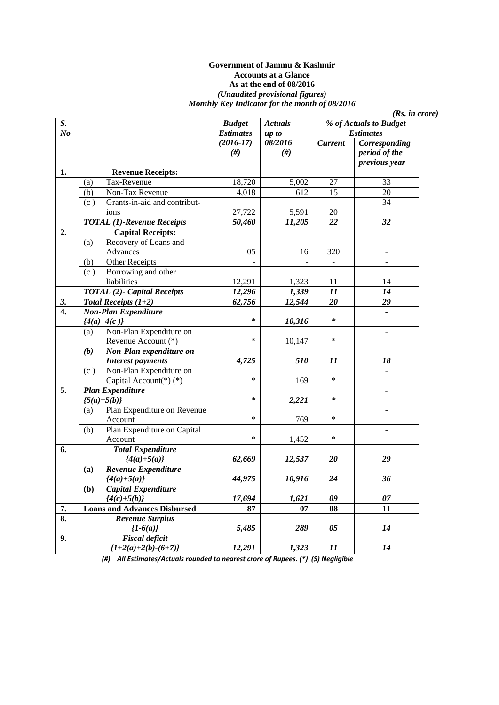#### **Government of Jammu & Kashmir Accounts at a Glance As at the end of 08/2016**  *(Unaudited provisional figures) Monthly Key Indicator for the month of 08/2016*

| $S_{\cdot}$               |               |                                          | <b>Budget</b>    | <b>Actuals</b> | % of Actuals to Budget |               |
|---------------------------|---------------|------------------------------------------|------------------|----------------|------------------------|---------------|
| N <sub>o</sub>            |               |                                          | <b>Estimates</b> | up to          | <b>Estimates</b>       |               |
|                           |               |                                          | $(2016 - 17)$    | 08/2016        | <b>Current</b>         | Corresponding |
|                           |               |                                          | #)               | $(\#)$         |                        | period of the |
|                           |               |                                          |                  |                |                        | previous year |
| 1.                        |               | <b>Revenue Receipts:</b>                 |                  |                |                        |               |
|                           | (a)           | Tax-Revenue                              | 18,720           | 5,002          | 27                     | 33            |
|                           | (b)           | Non-Tax Revenue                          | 4,018            | 612            | 15                     | 20            |
|                           | (c)           | Grants-in-aid and contribut-             |                  |                |                        | 34            |
|                           |               | ions                                     | 27,722           | 5,591          | $20\,$                 |               |
|                           |               | <b>TOTAL</b> (1)-Revenue Receipts        | 50,460           | 11,205         | 22                     | 32            |
| $\overline{2}$ .          |               | <b>Capital Receipts:</b>                 |                  |                |                        |               |
|                           | (a)           | Recovery of Loans and                    |                  |                |                        |               |
|                           |               | Advances                                 | 05               | 16             | 320                    |               |
|                           | (b)           | <b>Other Receipts</b>                    |                  |                |                        |               |
|                           | (c)           | Borrowing and other                      |                  |                |                        |               |
|                           |               | liabilities                              | 12,291           | 1,323          | 11                     | 14            |
|                           |               | <b>TOTAL</b> (2)- Capital Receipts       | 12,296           | 1,339          | 11                     | 14            |
| 3.                        |               | Total Receipts $(1+2)$                   | 62,756           | 12,544         | 20                     | 29            |
| $\overline{4}$ .          |               | Non-Plan Expenditure                     |                  |                |                        |               |
|                           | ${4(a)+4(c)}$ |                                          | $\ast$           | 10,316         | ∗                      |               |
|                           | (a)           | Non-Plan Expenditure on                  |                  |                |                        |               |
|                           |               | Revenue Account (*)                      | $\ast$           | 10,147         | $\ast$                 |               |
|                           | (b)           | Non-Plan expenditure on                  |                  |                |                        |               |
|                           |               | <b>Interest payments</b>                 | 4,725            | 510            | 11                     | 18            |
|                           | (c)           | Non-Plan Expenditure on                  |                  |                |                        |               |
|                           |               | Capital Account(*) (*)                   | $\ast$           | 169            | $\ast$                 |               |
| $\overline{5}$ .          |               |                                          |                  |                |                        |               |
|                           |               | <b>Plan Expenditure</b><br>${5(a)+5(b)}$ | $\ast$           | 2,221          | $\ast$                 |               |
|                           |               | Plan Expenditure on Revenue              |                  |                |                        |               |
|                           | (a)           |                                          | $\ast$           |                | $\ast$                 |               |
|                           |               | Account<br>Plan Expenditure on Capital   |                  | 769            |                        |               |
|                           | (b)           |                                          | $\ast$           |                | $\ast$                 |               |
|                           |               | Account                                  |                  | 1,452          |                        |               |
| 6.                        |               | <b>Total Expenditure</b>                 |                  |                |                        |               |
|                           |               | ${4(a)+5(a)}$                            | 62,669           | 12,537         | 20                     | 29            |
|                           | (a)           | Revenue Expenditure                      |                  |                |                        |               |
|                           |               | ${4(a)+5(a)}$                            | 44,975           | 10,916         | 24                     | 36            |
|                           | (b)           | Capital Expenditure                      |                  |                |                        |               |
|                           |               | ${4(c)+5(b)}$                            | 17,694           | 1,621          | 09                     | 07            |
| $\overline{7}$ .          |               | <b>Loans and Advances Disbursed</b>      | 87               | 07             | 08                     | 11            |
| $\overline{\mathbf{8}}$ . |               | <b>Revenue Surplus</b>                   |                  |                |                        |               |
|                           |               | ${1-6(a)}$                               | 5,485            | 289            | 05                     | 14            |
| 9.                        |               | <b>Fiscal deficit</b>                    |                  |                |                        |               |
|                           |               | ${1+2(a)+2(b)-(6+7)}$                    | 12,291           | 1,323          | 11                     | 14            |

*(Rs. in crore)* 

*(#) All Estimates/Actuals rounded to nearest crore of Rupees. (\*) (\$) Negligible*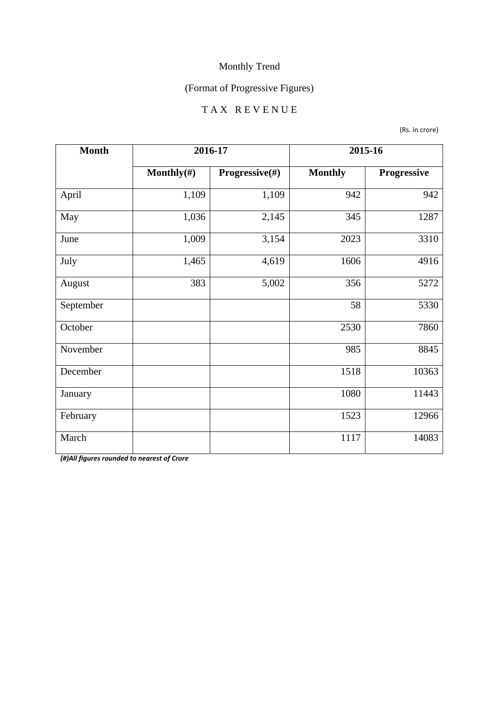# (Format of Progressive Figures)

#### T A X R E V E N U E

(Rs. in crore)

| <b>Month</b> | 2016-17        |                | 2015-16        |             |
|--------------|----------------|----------------|----------------|-------------|
|              | Monthly $(\#)$ | Progressive(#) | <b>Monthly</b> | Progressive |
| April        | 1,109          | 1,109          | 942            | 942         |
| May          | 1,036          | 2,145          | 345            | 1287        |
| June         | 1,009          | 3,154          | 2023           | 3310        |
| July         | 1,465          | 4,619          | 1606           | 4916        |
| August       | 383            | 5,002          | 356            | 5272        |
| September    |                |                | 58             | 5330        |
| October      |                |                | 2530           | 7860        |
| November     |                |                | 985            | 8845        |
| December     |                |                | 1518           | 10363       |
| January      |                |                | 1080           | 11443       |
| February     |                |                | 1523           | 12966       |
| March        |                |                | 1117           | 14083       |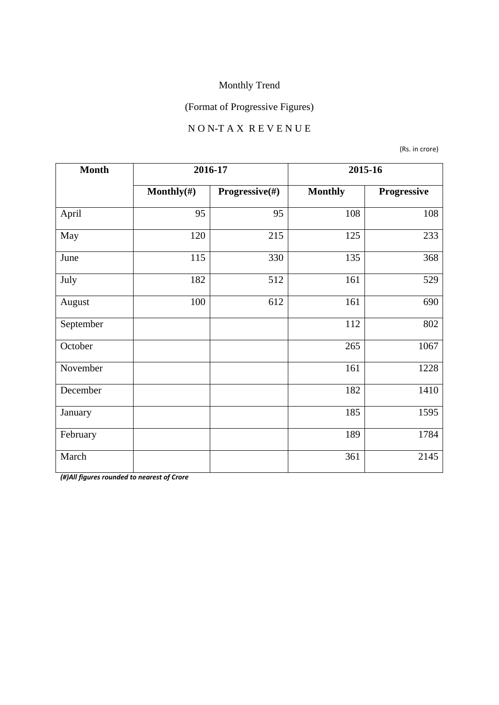# (Format of Progressive Figures)

#### N O N-T A X R E V E N U E

(Rs. in crore)

| <b>Month</b> | 2016-17        |                | 2015-16        |             |
|--------------|----------------|----------------|----------------|-------------|
|              | Monthly $(\#)$ | Progressive(#) | <b>Monthly</b> | Progressive |
| April        | 95             | 95             | 108            | 108         |
| May          | 120            | 215            | 125            | 233         |
| June         | 115            | 330            | 135            | 368         |
| July         | 182            | 512            | 161            | 529         |
| August       | 100            | 612            | 161            | 690         |
| September    |                |                | 112            | 802         |
| October      |                |                | 265            | 1067        |
| November     |                |                | 161            | 1228        |
| December     |                |                | 182            | 1410        |
| January      |                |                | 185            | 1595        |
| February     |                |                | 189            | 1784        |
| March        |                |                | 361            | 2145        |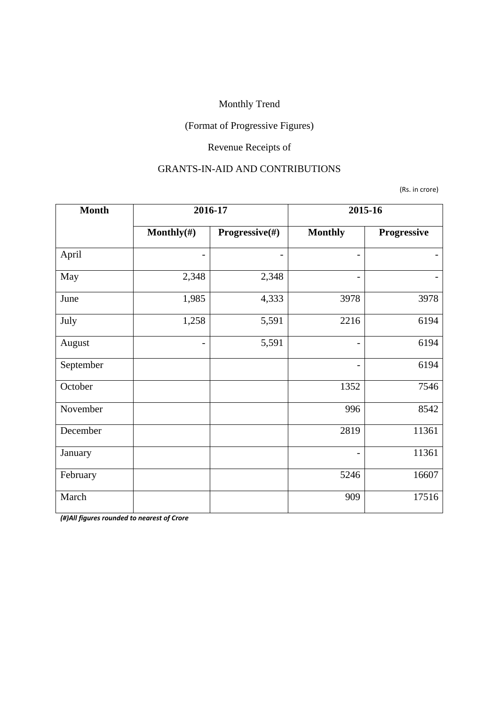## (Format of Progressive Figures)

# Revenue Receipts of

#### GRANTS-IN-AID AND CONTRIBUTIONS

(Rs. in crore)

| <b>Month</b> | 2016-17                  |                | 2015-16                  |             |
|--------------|--------------------------|----------------|--------------------------|-------------|
|              | Monthly $(\#)$           | Progressive(#) | <b>Monthly</b>           | Progressive |
| April        |                          |                | $\overline{\phantom{0}}$ |             |
| May          | 2,348                    | 2,348          | $\overline{a}$           |             |
| June         | 1,985                    | 4,333          | 3978                     | 3978        |
| July         | 1,258                    | 5,591          | 2216                     | 6194        |
| August       | $\overline{\phantom{0}}$ | 5,591          | $\overline{\phantom{0}}$ | 6194        |
| September    |                          |                |                          | 6194        |
| October      |                          |                | 1352                     | 7546        |
| November     |                          |                | 996                      | 8542        |
| December     |                          |                | 2819                     | 11361       |
| January      |                          |                | $\overline{\phantom{0}}$ | 11361       |
| February     |                          |                | 5246                     | 16607       |
| March        |                          |                | 909                      | 17516       |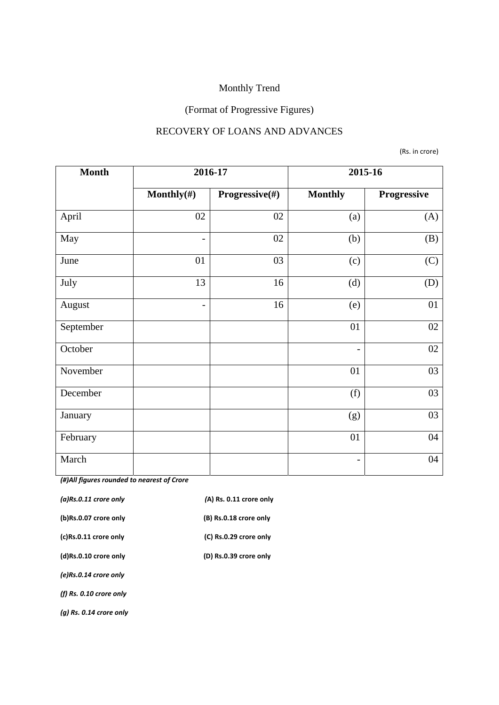# (Format of Progressive Figures)

#### RECOVERY OF LOANS AND ADVANCES

(Rs. in crore)

| <b>Month</b> | 2016-17                  |                | 2015-16                  |             |
|--------------|--------------------------|----------------|--------------------------|-------------|
|              | Monthly $(\#)$           | Progressive(#) | <b>Monthly</b>           | Progressive |
| April        | 02                       | 02             | (a)                      | (A)         |
| May          | $\overline{\phantom{a}}$ | 02             | (b)                      | (B)         |
| June         | 01                       | 03             | (c)                      | (C)         |
| July         | 13                       | 16             | (d)                      | (D)         |
| August       | $\overline{\phantom{a}}$ | 16             | (e)                      | 01          |
| September    |                          |                | 01                       | 02          |
| October      |                          |                | $\overline{\phantom{a}}$ | 02          |
| November     |                          |                | 01                       | 03          |
| December     |                          |                | (f)                      | 03          |
| January      |                          |                | (g)                      | 03          |
| February     |                          |                | 01                       | 04          |
| March        |                          |                | $\overline{\phantom{a}}$ | 04          |

| $(a)$ Rs.0.11 crore only  | (A) Rs. 0.11 crore only |
|---------------------------|-------------------------|
| (b)Rs.0.07 crore only     | (B) Rs.0.18 crore only  |
| (c)Rs.0.11 crore only     | (C) Rs.0.29 crore only  |
| (d)Rs.0.10 crore only     | (D) Rs.0.39 crore only  |
| (e)Rs.0.14 crore only     |                         |
| (f) $Rs. 0.10$ crore only |                         |
| (a) Rs. 0.14 crore only   |                         |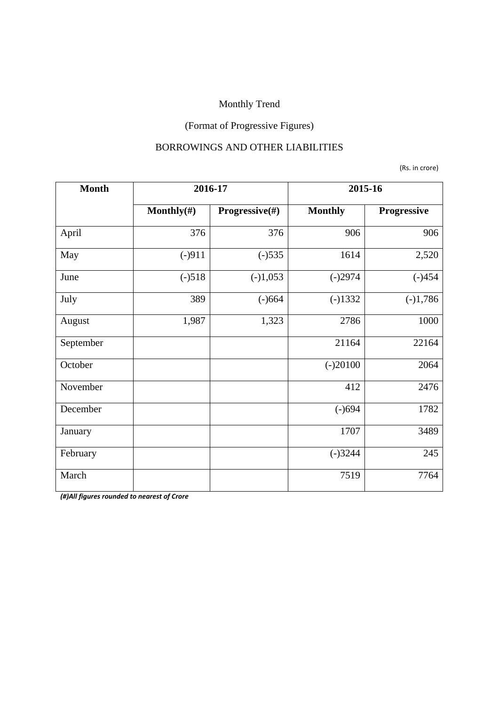# (Format of Progressive Figures)

#### BORROWINGS AND OTHER LIABILITIES

(Rs. in crore)

| <b>Month</b> | 2016-17        |                           | 2015-16        |             |
|--------------|----------------|---------------------------|----------------|-------------|
|              | Monthly $(\#)$ | <b>Progressive</b> $(\#)$ | <b>Monthly</b> | Progressive |
| April        | 376            | 376                       | 906            | 906         |
| May          | $(-)911$       | $(-)535$                  | 1614           | 2,520       |
| June         | $(-)518$       | $(-)1,053$                | $(-)2974$      | $(-)454$    |
| July         | 389            | $(-)664$                  | $(-)1332$      | $(-)1,786$  |
| August       | 1,987          | 1,323                     | 2786           | 1000        |
| September    |                |                           | 21164          | 22164       |
| October      |                |                           | $(-)20100$     | 2064        |
| November     |                |                           | 412            | 2476        |
| December     |                |                           | $(-)694$       | 1782        |
| January      |                |                           | 1707           | 3489        |
| February     |                |                           | $(-)3244$      | 245         |
| March        |                |                           | 7519           | 7764        |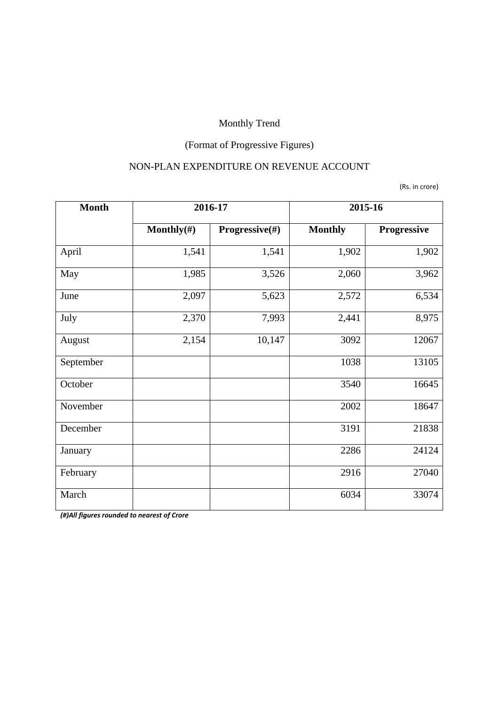# (Format of Progressive Figures)

#### NON-PLAN EXPENDITURE ON REVENUE ACCOUNT

(Rs. in crore)

| <b>Month</b> | 2016-17        |                | 2015-16        |                    |
|--------------|----------------|----------------|----------------|--------------------|
|              | Monthly $(\#)$ | Progressive(#) | <b>Monthly</b> | <b>Progressive</b> |
| April        | 1,541          | 1,541          | 1,902          | 1,902              |
| May          | 1,985          | 3,526          | 2,060          | 3,962              |
| June         | 2,097          | 5,623          | 2,572          | 6,534              |
| July         | 2,370          | 7,993          | 2,441          | 8,975              |
| August       | 2,154          | 10,147         | 3092           | 12067              |
| September    |                |                | 1038           | 13105              |
| October      |                |                | 3540           | 16645              |
| November     |                |                | 2002           | 18647              |
| December     |                |                | 3191           | 21838              |
| January      |                |                | 2286           | 24124              |
| February     |                |                | 2916           | 27040              |
| March        |                |                | 6034           | 33074              |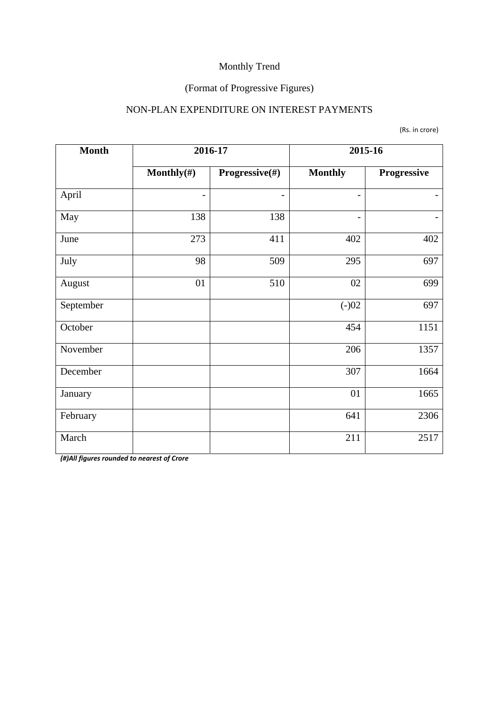## (Format of Progressive Figures)

#### NON-PLAN EXPENDITURE ON INTEREST PAYMENTS

(Rs. in crore)

| <b>Month</b> | 2016-17        |                | 2015-16                      |             |
|--------------|----------------|----------------|------------------------------|-------------|
|              | Monthly $(\#)$ | Progressive(#) | <b>Monthly</b>               | Progressive |
| April        |                |                | $\qquad \qquad \blacksquare$ |             |
| May          | 138            | 138            | $\overline{\phantom{a}}$     |             |
| June         | 273            | 411            | 402                          | 402         |
| July         | 98             | 509            | 295                          | 697         |
| August       | 01             | 510            | 02                           | 699         |
| September    |                |                | $(-)02$                      | 697         |
| October      |                |                | 454                          | 1151        |
| November     |                |                | 206                          | 1357        |
| December     |                |                | 307                          | 1664        |
| January      |                |                | 01                           | 1665        |
| February     |                |                | 641                          | 2306        |
| March        |                |                | 211                          | 2517        |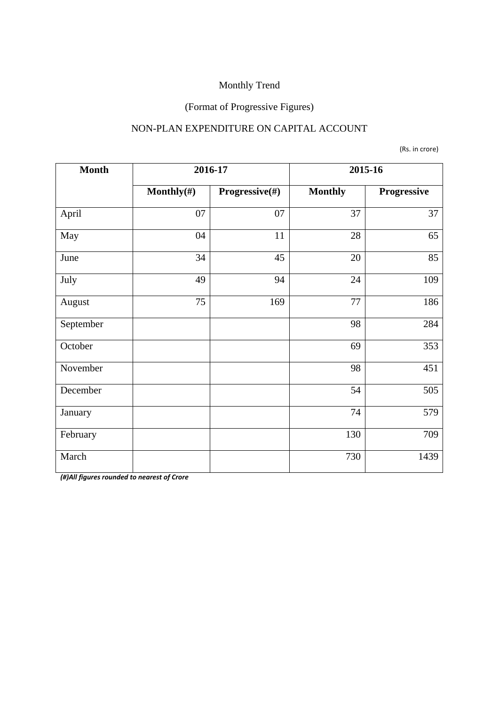#### (Format of Progressive Figures)

#### NON-PLAN EXPENDITURE ON CAPITAL ACCOUNT

(Rs. in crore)

| <b>Month</b> |                | 2016-17        | 2015-16        |             |
|--------------|----------------|----------------|----------------|-------------|
|              | Monthly $(\#)$ | Progressive(#) | <b>Monthly</b> | Progressive |
| April        | 07             | 07             | 37             | 37          |
| May          | 04             | 11             | 28             | 65          |
| June         | 34             | 45             | 20             | 85          |
| July         | 49             | 94             | 24             | 109         |
| August       | 75             | 169            | 77             | 186         |
| September    |                |                | 98             | 284         |
| October      |                |                | 69             | 353         |
| November     |                |                | 98             | 451         |
| December     |                |                | 54             | 505         |
| January      |                |                | 74             | 579         |
| February     |                |                | 130            | 709         |
| March        |                |                | 730            | 1439        |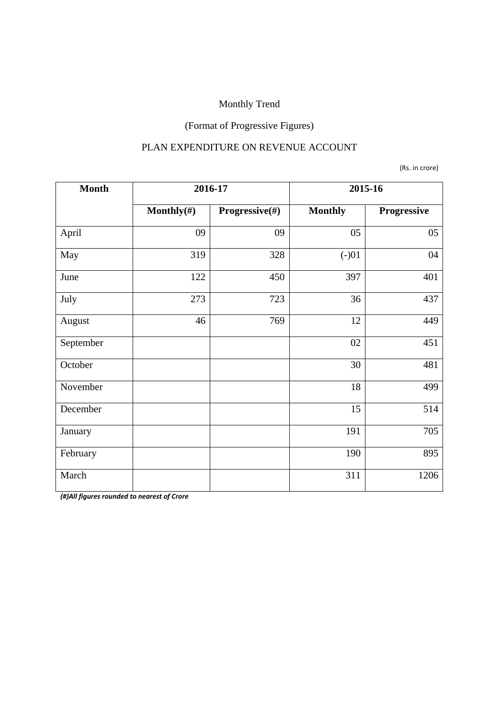# (Format of Progressive Figures)

#### PLAN EXPENDITURE ON REVENUE ACCOUNT

(Rs. in crore)

| <b>Month</b> | 2016-17        |                | 2015-16        |             |
|--------------|----------------|----------------|----------------|-------------|
|              | Monthly $(\#)$ | Progressive(#) | <b>Monthly</b> | Progressive |
| April        | 09             | 09             | 05             | 05          |
| May          | 319            | 328            | $(-)01$        | 04          |
| June         | 122            | 450            | 397            | 401         |
| July         | 273            | 723            | 36             | 437         |
| August       | 46             | 769            | 12             | 449         |
| September    |                |                | 02             | 451         |
| October      |                |                | 30             | 481         |
| November     |                |                | 18             | 499         |
| December     |                |                | 15             | 514         |
| January      |                |                | 191            | 705         |
| February     |                |                | 190            | 895         |
| March        |                |                | 311            | 1206        |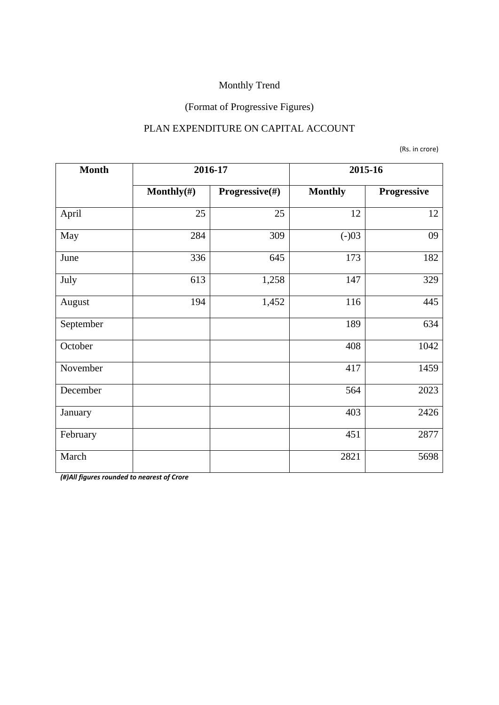## (Format of Progressive Figures)

#### PLAN EXPENDITURE ON CAPITAL ACCOUNT

(Rs. in crore)

| <b>Month</b> |                | 2016-17        | 2015-16        |             |
|--------------|----------------|----------------|----------------|-------------|
|              | Monthly $(\#)$ | Progressive(#) | <b>Monthly</b> | Progressive |
| April        | 25             | 25             | 12             | 12          |
| May          | 284            | 309            | $(-)03$        | 09          |
| June         | 336            | 645            | 173            | 182         |
| July         | 613            | 1,258          | 147            | 329         |
| August       | 194            | 1,452          | 116            | 445         |
| September    |                |                | 189            | 634         |
| October      |                |                | 408            | 1042        |
| November     |                |                | 417            | 1459        |
| December     |                |                | 564            | 2023        |
| January      |                |                | 403            | 2426        |
| February     |                |                | 451            | 2877        |
| March        |                |                | 2821           | 5698        |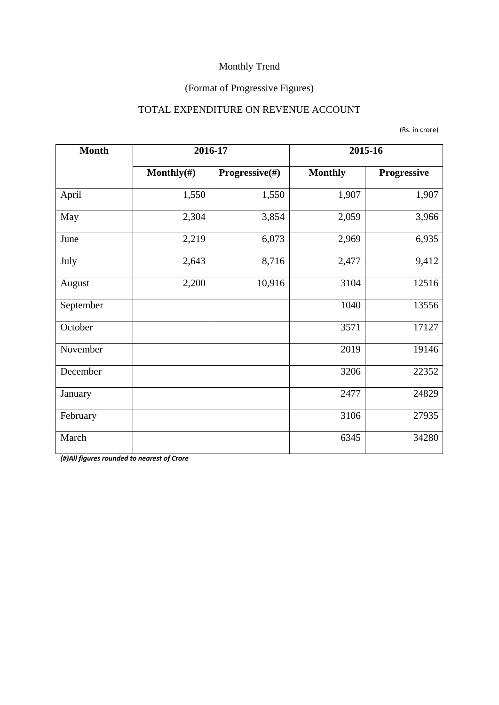## (Format of Progressive Figures)

#### TOTAL EXPENDITURE ON REVENUE ACCOUNT

| <b>Month</b> | 2016-17        |                | 2015-16        |             |  |
|--------------|----------------|----------------|----------------|-------------|--|
|              | Monthly $(\#)$ | Progressive(#) | <b>Monthly</b> | Progressive |  |
| April        | 1,550          | 1,550          | 1,907          | 1,907       |  |
| May          | 2,304          | 3,854          | 2,059          | 3,966       |  |
| June         | 2,219          | 6,073          | 2,969          | 6,935       |  |
| July         | 2,643          | 8,716          | 2,477          | 9,412       |  |
| August       | 2,200          | 10,916         | 3104           | 12516       |  |
| September    |                |                | 1040           | 13556       |  |
| October      |                |                | 3571           | 17127       |  |
| November     |                |                | 2019           | 19146       |  |
| December     |                |                | 3206           | 22352       |  |
| January      |                |                | 2477           | 24829       |  |
| February     |                |                | 3106           | 27935       |  |
| March        |                |                | 6345           | 34280       |  |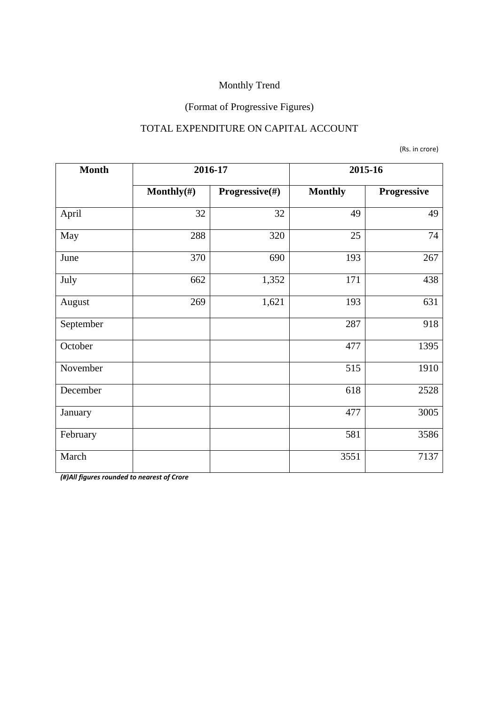## (Format of Progressive Figures)

#### TOTAL EXPENDITURE ON CAPITAL ACCOUNT

(Rs. in crore)

| <b>Month</b> |                | 2016-17        | 2015-16        |             |  |
|--------------|----------------|----------------|----------------|-------------|--|
|              | Monthly $(\#)$ | Progressive(#) | <b>Monthly</b> | Progressive |  |
| April        | 32             | 32             | 49             | 49          |  |
| May          | 288            | 320            | 25             | 74          |  |
| June         | 370            | 690            | 193            | 267         |  |
| July         | 662            | 1,352          | 171            | 438         |  |
| August       | 269            | 1,621          | 193            | 631         |  |
| September    |                |                | 287            | 918         |  |
| October      |                |                | 477            | 1395        |  |
| November     |                |                | 515            | 1910        |  |
| December     |                |                | 618            | 2528        |  |
| January      |                |                | 477            | 3005        |  |
| February     |                |                | 581            | 3586        |  |
| March        |                |                | 3551           | 7137        |  |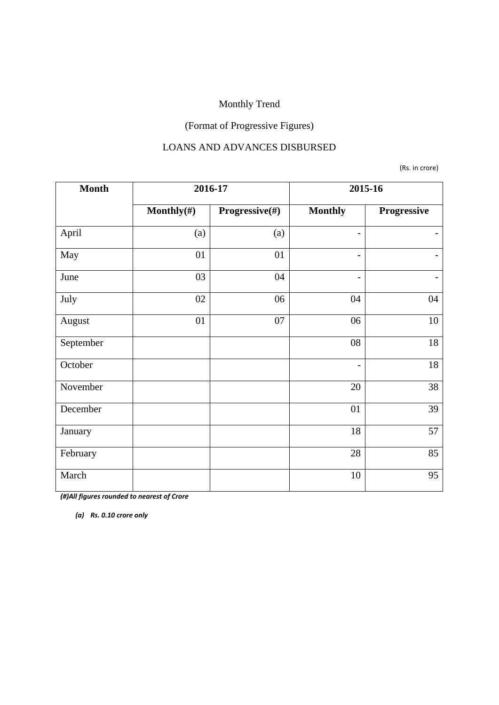## (Format of Progressive Figures)

#### LOANS AND ADVANCES DISBURSED

(Rs. in crore)

| <b>Month</b> | 2016-17    |                | 2015-16                  |                   |  |
|--------------|------------|----------------|--------------------------|-------------------|--|
|              | Monthly(#) | Progressive(#) | <b>Monthly</b>           | Progressive       |  |
| April        | (a)        | (a)            | $\overline{\phantom{0}}$ |                   |  |
| May          | 01         | 01             | $\overline{\phantom{a}}$ | -                 |  |
| June         | 03         | 04             | $\overline{\phantom{0}}$ | $\qquad \qquad -$ |  |
| July         | 02         | 06             | 04                       | 04                |  |
| August       | 01         | 07             | 06                       | $10\,$            |  |
| September    |            |                | 08                       | 18                |  |
| October      |            |                | $\overline{\phantom{a}}$ | 18                |  |
| November     |            |                | 20                       | 38                |  |
| December     |            |                | 01                       | 39                |  |
| January      |            |                | 18                       | 57                |  |
| February     |            |                | 28                       | 85                |  |
| March        |            |                | 10                       | 95                |  |

*(#)All figures rounded to nearest of Crore* 

*(a) Rs. 0.10 crore only*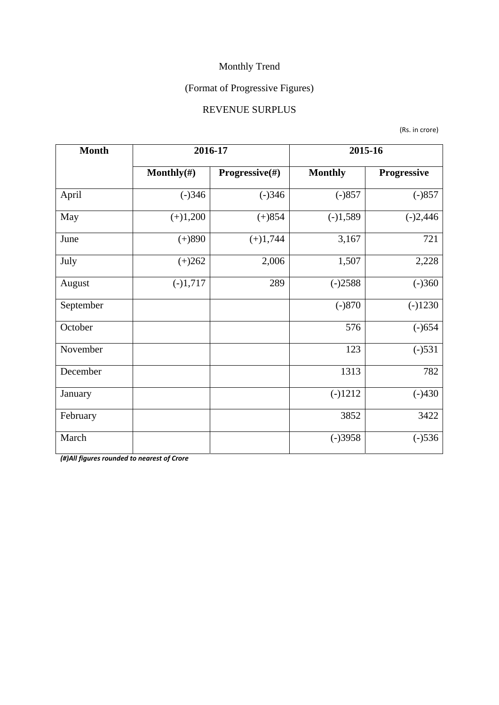## (Format of Progressive Figures)

#### REVENUE SURPLUS

(Rs. in crore)

| <b>Month</b> | 2016-17        |                | 2015-16        |                    |  |
|--------------|----------------|----------------|----------------|--------------------|--|
|              | Monthly $(\#)$ | Progressive(#) | <b>Monthly</b> | <b>Progressive</b> |  |
| April        | $(-)346$       | $(-)346$       | $(-)857$       | $(-)857$           |  |
| May          | $(+)1,200$     | $(+)854$       | $(-)1,589$     | $(-)2,446$         |  |
| June         | $(+)890$       |                | 3,167          | 721                |  |
| July         | $(+)262$       | 2,006          | 1,507          | 2,228              |  |
| August       | $(-)1,717$     | 289            | $(-)2588$      | $(-)360$           |  |
| September    |                |                | $(-)870$       | $(-)1230$          |  |
| October      |                |                | 576            | $(-)654$           |  |
| November     |                |                | 123            | $(-)531$           |  |
| December     |                |                | 1313           | 782                |  |
| January      |                |                | $(-)1212$      | $(-)430$           |  |
| February     |                |                | 3852           | 3422               |  |
| March        |                |                | $(-)3958$      | $(-)536$           |  |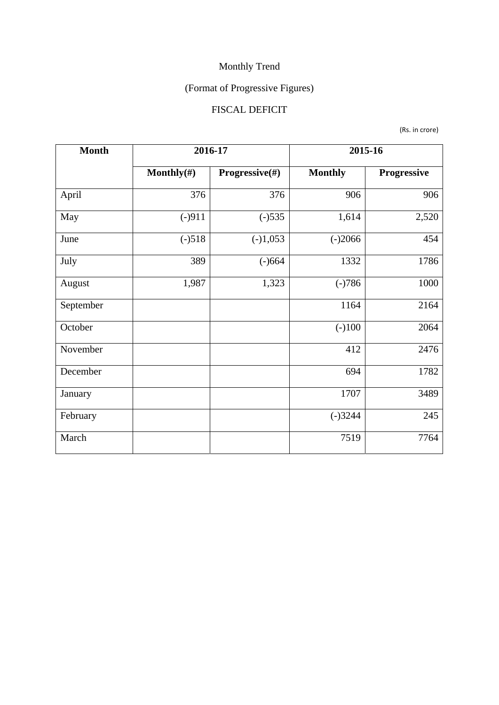# (Format of Progressive Figures)

## FISCAL DEFICIT

(Rs. in crore)

| <b>Month</b>    | 2016-17        |                | 2015-16        |             |  |
|-----------------|----------------|----------------|----------------|-------------|--|
|                 | Monthly $(\#)$ | Progressive(#) | <b>Monthly</b> | Progressive |  |
| April           | 376            | 376            | 906            | 906         |  |
| May<br>$(-)911$ |                | $(-)535$       | 1,614          | 2,520       |  |
| June            | $(-)518$       | $(-)1,053$     | $(-)2066$      | 454         |  |
| July            | 389            | $(-)664$       | 1332           | 1786        |  |
| August          | 1,987          | 1,323          | $(-)786$       | 1000        |  |
| September       |                |                | 1164           | 2164        |  |
| October         |                |                | $(-)100$       | 2064        |  |
| November        |                |                | 412            | 2476        |  |
| December        |                |                | 694            | 1782        |  |
| January         |                |                | 1707           | 3489        |  |
| February        |                |                | $(-)3244$      | 245         |  |
| March           |                |                | 7519           | 7764        |  |